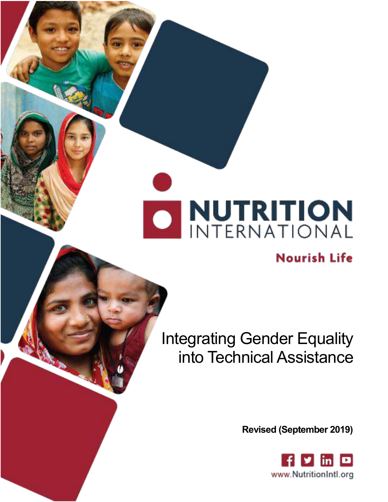# **DENITERNATION**

# **Nourish Life**

Integrating Gender Equality into Technical Assistance

**Revised (September 2019)**

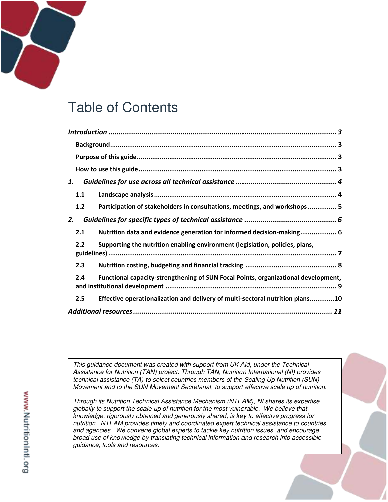# Table of Contents

| 1.                                                                                        |
|-------------------------------------------------------------------------------------------|
| 1.1                                                                                       |
| 1.2<br>Participation of stakeholders in consultations, meetings, and workshops 5          |
| 2.                                                                                        |
| Nutrition data and evidence generation for informed decision-making 6<br>2.1              |
| Supporting the nutrition enabling environment (legislation, policies, plans,<br>2.2       |
| 2.3                                                                                       |
| Functional capacity-strengthening of SUN Focal Points, organizational development,<br>2.4 |
| Effective operationalization and delivery of multi-sectoral nutrition plans10<br>2.5      |
|                                                                                           |

*This guidance document was created with support from UK Aid, under the Technical Assistance for Nutrition (TAN) project. Through TAN, Nutrition International (NI) provides technical assistance (TA) to select countries members of the Scaling Up Nutrition (SUN) Movement and to the SUN Movement Secretariat, to support effective scale up of nutrition.* 

*Through its Nutrition Technical Assistance Mechanism (NTEAM), NI shares its expertise globally to support the scale-up of nutrition for the most vulnerable. We believe that knowledge, rigorously obtained and generously shared, is key to effective progress for nutrition. NTEAM provides timely and coordinated expert technical assistance to countries and agencies. We convene global experts to tackle key nutrition issues, and encourage broad use of knowledge by translating technical information and research into accessible guidance, tools and resources.*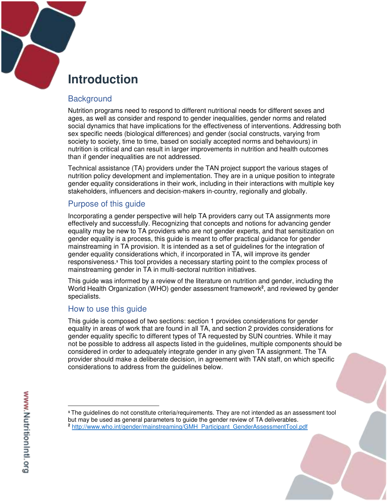

# <span id="page-2-0"></span>**Introduction**

## <span id="page-2-1"></span>**Background**

Nutrition programs need to respond to different nutritional needs for different sexes and ages, as well as consider and respond to gender inequalities, gender norms and related social dynamics that have implications for the effectiveness of interventions. Addressing both sex specific needs (biological differences) and gender (social constructs, varying from society to society, time to time, based on socially accepted norms and behaviours) in nutrition is critical and can result in larger improvements in nutrition and health outcomes than if gender inequalities are not addressed.

Technical assistance (TA) providers under the TAN project support the various stages of nutrition policy development and implementation. They are in a unique position to integrate gender equality considerations in their work, including in their interactions with multiple key stakeholders, influencers and decision-makers in-country, regionally and globally.

## <span id="page-2-2"></span>Purpose of this guide

Incorporating a gender perspective will help TA providers carry out TA assignments more effectively and successfully. Recognizing that concepts and notions for advancing gender equality may be new to TA providers who are not gender experts, and that sensitization on gender equality is a process, this guide is meant to offer practical guidance for gender mainstreaming in TA provision. It is intended as a set of guidelines for the integration of gender equality considerations which, if incorporated in TA, will improve its gender responsiveness.**<sup>1</sup>** This tool provides a necessary starting point to the complex process of mainstreaming gender in TA in multi-sectoral nutrition initiatives.

This guide was informed by a review of the literature on nutrition and gender, including the World Health Organization (WHO) gender assessment framework**<sup>2</sup>** , and reviewed by gender specialists.

## <span id="page-2-3"></span>How to use this guide

This guide is composed of two sections: section 1 provides considerations for gender equality in areas of work that are found in all TA, and section 2 provides considerations for gender equality specific to different types of TA requested by SUN countries. While it may not be possible to address all aspects listed in the guidelines, multiple components should be considered in order to adequately integrate gender in any given TA assignment. The TA provider should make a deliberate decision, in agreement with TAN staff, on which specific considerations to address from the guidelines below.

 $\overline{a}$ 

**<sup>1</sup>** The guidelines do not constitute criteria/requirements. They are not intended as an assessment tool but may be used as general parameters to guide the gender review of TA deliverables. **<sup>2</sup>** [http://www.who.int/gender/mainstreaming/GMH\\_Participant\\_GenderAssessmentTool.pdf](http://www.who.int/gender/mainstreaming/GMH_Participant_GenderAssessmentTool.pdf)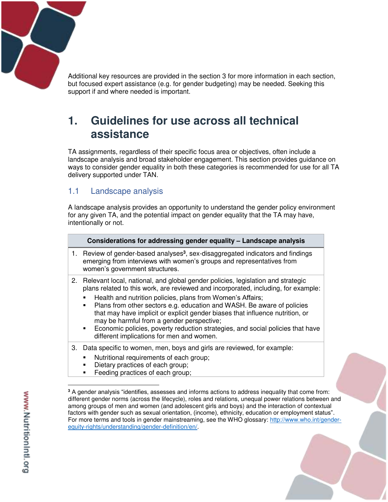Additional key resources are provided in the section 3 for more information in each section, but focused expert assistance (e.g. for gender budgeting) may be needed. Seeking this support if and where needed is important.

# <span id="page-3-0"></span>**1. Guidelines for use across all technical assistance**

TA assignments, regardless of their specific focus area or objectives, often include a landscape analysis and broad stakeholder engagement. This section provides guidance on ways to consider gender equality in both these categories is recommended for use for all TA delivery supported under TAN.

## <span id="page-3-1"></span>1.1 Landscape analysis

A landscape analysis provides an opportunity to understand the gender policy environment for any given TA, and the potential impact on gender equality that the TA may have, intentionally or not.

|    | Considerations for addressing gender equality - Landscape analysis                                                                                                                                                                                                                                                                                                                                                                                                                                                                                                                                |
|----|---------------------------------------------------------------------------------------------------------------------------------------------------------------------------------------------------------------------------------------------------------------------------------------------------------------------------------------------------------------------------------------------------------------------------------------------------------------------------------------------------------------------------------------------------------------------------------------------------|
|    | 1. Review of gender-based analyses <sup>3</sup> , sex-disaggregated indicators and findings<br>emerging from interviews with women's groups and representatives from<br>women's government structures.                                                                                                                                                                                                                                                                                                                                                                                            |
| 2. | Relevant local, national, and global gender policies, legislation and strategic<br>plans related to this work, are reviewed and incorporated, including, for example:<br>Health and nutrition policies, plans from Women's Affairs;<br>Plans from other sectors e.g. education and WASH. Be aware of policies<br>٠<br>that may have implicit or explicit gender biases that influence nutrition, or<br>may be harmful from a gender perspective;<br>Economic policies, poverty reduction strategies, and social policies that have<br>$\blacksquare$<br>different implications for men and women. |
| 3. | Data specific to women, men, boys and girls are reviewed, for example:<br>Nutritional requirements of each group;<br>Dietary practices of each group;<br>٠<br>Feeding practices of each group;                                                                                                                                                                                                                                                                                                                                                                                                    |

**<sup>3</sup>** A gender analysis "identifies, assesses and informs actions to address inequality that come from: different gender norms (across the lifecycle), roles and relations, unequal power relations between and among groups of men and women (and adolescent girls and boys) and the interaction of contextual factors with gender such as sexual orientation, (income), ethnicity, education or employment status". For more terms and tools in gender mainstreaming, see the WHO glossary: [http://www.who.int/gender](http://www.who.int/gender-equity-rights/understanding/gender-definition/en/)[equity-rights/understanding/gender-definition/en/.](http://www.who.int/gender-equity-rights/understanding/gender-definition/en/)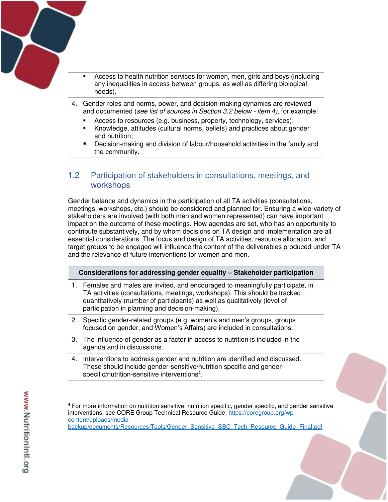

- Access to health nutrition services for women, men, girls and boys (including any inequalities in access between groups, as well as differing biological needs).
- 4. Gender roles and norms, power, and decision-making dynamics are reviewed and documented (*see list of sources in Section 3.2 below - item 4)*, for example:
	- Access to resources (e.g. business, property, technology, services);
	- Knowledge, attitudes (cultural norms, beliefs) and practices about gender and nutrition;
	- Decision-making and division of labour/household activities in the family and the community.

## <span id="page-4-0"></span>1.2 Participation of stakeholders in consultations, meetings, and workshops

Gender balance and dynamics in the participation of all TA activities (consultations, meetings, workshops, etc.) should be considered and planned for. Ensuring a wide-variety of stakeholders are involved (with both men and women represented) can have important impact on the outcome of these meetings. How agendas are set, who has an opportunity to contribute substantively, and by whom decisions on TA design and implementation are all essential considerations. The focus and design of TA activities, resource allocation, and target groups to be engaged will influence the content of the deliverables produced under TA and the relevance of future interventions for women and men.

| Considerations for addressing gender equality - Stakeholder participation |                                                                                                                                                                                                                                                                                                 |  |
|---------------------------------------------------------------------------|-------------------------------------------------------------------------------------------------------------------------------------------------------------------------------------------------------------------------------------------------------------------------------------------------|--|
|                                                                           | 1. Females and males are invited, and encouraged to meaningfully participate, in<br>TA activities (consultations, meetings, workshops). This should be tracked<br>quantitatively (number of participants) as well as qualitatively (level of<br>participation in planning and decision-making). |  |
|                                                                           | 2. Specific gender-related groups (e.g. women's and men's groups, groups<br>focused on gender, and Women's Affairs) are included in consultations.                                                                                                                                              |  |
|                                                                           | 3. The influence of gender as a factor in access to nutrition is included in the                                                                                                                                                                                                                |  |

4. Interventions to address gender and nutrition are identified and discussed. These should include gender-sensitive/nutrition specific and genderspecific/nutrition-sensitive interventions**<sup>4</sup>** .

agenda and in discussions.

[backup/documents/Resources/Tools/Gender\\_Sensitive\\_SBC\\_Tech\\_Resource\\_Guide\\_Final.pdf](https://coregroup.org/wp-content/uploads/media-backup/documents/Resources/Tools/Gender_Sensitive_SBC_Tech_Resource_Guide_Final.pdf)

 $\overline{a}$ **4** For more information on nutrition sensitive, nutrition specific, gender specific, and gender sensitive interventions, see CORE Group Technical Resource Guide: [https://coregroup.org/wp](https://coregroup.org/wp-content/uploads/media-backup/documents/Resources/Tools/Gender_Sensitive_SBC_Tech_Resource_Guide_Final.pdf)[content/uploads/media-](https://coregroup.org/wp-content/uploads/media-backup/documents/Resources/Tools/Gender_Sensitive_SBC_Tech_Resource_Guide_Final.pdf)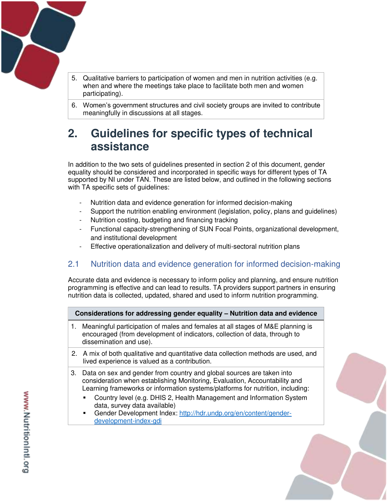

- 5. Qualitative barriers to participation of women and men in nutrition activities (e.g. when and where the meetings take place to facilitate both men and women participating).
- 6. Women's government structures and civil society groups are invited to contribute meaningfully in discussions at all stages.

## <span id="page-5-0"></span>**2. Guidelines for specific types of technical assistance**

In addition to the two sets of guidelines presented in section 2 of this document, gender equality should be considered and incorporated in specific ways for different types of TA supported by NI under TAN. These are listed below, and outlined in the following sections with TA specific sets of guidelines:

- Nutrition data and evidence generation for informed decision-making
- Support the nutrition enabling environment (legislation, policy, plans and guidelines)
- Nutrition costing, budgeting and financing tracking
- Functional capacity-strengthening of SUN Focal Points, organizational development, and institutional development
- Effective operationalization and delivery of multi-sectoral nutrition plans

## <span id="page-5-1"></span>2.1 Nutrition data and evidence generation for informed decision-making

Accurate data and evidence is necessary to inform policy and planning, and ensure nutrition programming is effective and can lead to results. TA providers support partners in ensuring nutrition data is collected, updated, shared and used to inform nutrition programming.

### **Considerations for addressing gender equality – Nutrition data and evidence**

- 1. Meaningful participation of males and females at all stages of M&E planning is encouraged (from development of indicators, collection of data, through to dissemination and use).
- 2. A mix of both qualitative and quantitative data collection methods are used, and lived experience is valued as a contribution.
- 3. Data on sex and gender from country and global sources are taken into consideration when establishing Monitoring, Evaluation, Accountability and Learning frameworks or information systems/platforms for nutrition, including:
	- Country level (e.g. DHIS 2, Health Management and Information System data, survey data available)
	- Gender Development Index: [http://hdr.undp.org/en/content/gender](http://hdr.undp.org/en/content/gender-development-index-gdi)[development-index-gdi](http://hdr.undp.org/en/content/gender-development-index-gdi)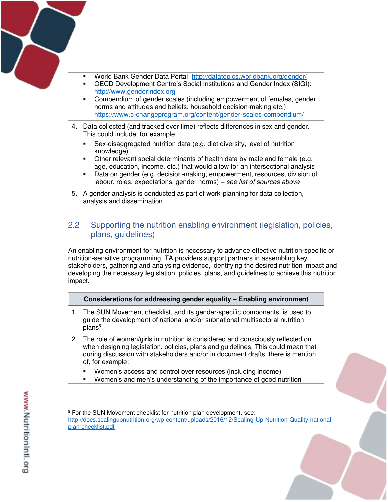

- World Bank Gender Data Portal:<http://datatopics.worldbank.org/gender/>
- OECD Development Centre's Social Institutions and Gender Index (SIGI): [http://www.genderindex.org](http://www.genderindex.org/)
- Compendium of gender scales (including empowerment of females, gender norms and attitudes and beliefs, household decision-making etc.): <https://www.c-changeprogram.org/content/gender-scales-compendium/>
- 4. Data collected (and tracked over time) reflects differences in sex and gender. This could include, for example:
	- Sex-disaggregated nutrition data (e.g. diet diversity, level of nutrition knowledge)
	- Other relevant social determinants of health data by male and female (e.g. age, education, income, etc.) that would allow for an intersectional analysis
	- Data on gender (e.g. decision-making, empowerment, resources, division of labour, roles, expectations, gender norms) – *see list of sources above*
- 5. A gender analysis is conducted as part of work-planning for data collection, analysis and dissemination.

## <span id="page-6-0"></span>2.2 Supporting the nutrition enabling environment (legislation, policies, plans, guidelines)

An enabling environment for nutrition is necessary to advance effective nutrition-specific or nutrition-sensitive programming. TA providers support partners in assembling key stakeholders, gathering and analysing evidence, identifying the desired nutrition impact and developing the necessary legislation, policies, plans, and guidelines to achieve this nutrition impact.

### **Considerations for addressing gender equality – Enabling environment**

- 1. The SUN Movement checklist, and its gender-specific components, is used to guide the development of national and/or subnational multisectoral nutrition plans**<sup>5</sup>** .
- 2. The role of women/girls in nutrition is considered and consciously reflected on when designing legislation, policies, plans and guidelines. This could mean that during discussion with stakeholders and/or in document drafts, there is mention of, for example:
	- Women's access and control over resources (including income)
	- Women's and men's understanding of the importance of good nutrition

 $\overline{a}$ 

**<sup>5</sup>** For the SUN Movement checklist for nutrition plan development, see: [http://docs.scalingupnutrition.org/wp-content/uploads/2016/12/Scaling-Up-Nutrition-Quality-national](http://docs.scalingupnutrition.org/wp-content/uploads/2016/12/Scaling-Up-Nutrition-Quality-national-plan-checklist.pdf)[plan-checklist.pdf](http://docs.scalingupnutrition.org/wp-content/uploads/2016/12/Scaling-Up-Nutrition-Quality-national-plan-checklist.pdf)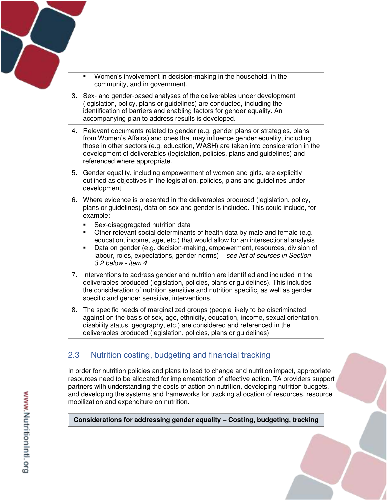

- Women's involvement in decision-making in the household, in the community, and in government.
- 3. Sex- and gender-based analyses of the deliverables under development (legislation, policy, plans or guidelines) are conducted, including the identification of barriers and enabling factors for gender equality. An accompanying plan to address results is developed.
- 4. Relevant documents related to gender (e.g. gender plans or strategies, plans from Women's Affairs) and ones that may influence gender equality, including those in other sectors (e.g. education, WASH) are taken into consideration in the development of deliverables (legislation, policies, plans and guidelines) and referenced where appropriate.
- 5. Gender equality, including empowerment of women and girls, are explicitly outlined as objectives in the legislation, policies, plans and guidelines under development.
- 6. Where evidence is presented in the deliverables produced (legislation, policy, plans or guidelines), data on sex and gender is included. This could include, for example:
	- **Sex-disaggregated nutrition data**
	- Other relevant social determinants of health data by male and female (e.g. education, income, age, etc.) that would allow for an intersectional analysis
	- Data on gender (e.g. decision-making, empowerment, resources, division of labour, roles, expectations, gender norms) – *see list of sources in Section 3.2 below - item 4*
- 7. Interventions to address gender and nutrition are identified and included in the deliverables produced (legislation, policies, plans or guidelines). This includes the consideration of nutrition sensitive and nutrition specific, as well as gender specific and gender sensitive, interventions.
- 8. The specific needs of marginalized groups (people likely to be discriminated against on the basis of sex, age, ethnicity, education, income, sexual orientation, disability status, geography, etc.) are considered and referenced in the deliverables produced (legislation, policies, plans or guidelines)

## <span id="page-7-0"></span>2.3 Nutrition costing, budgeting and financial tracking

In order for nutrition policies and plans to lead to change and nutrition impact, appropriate resources need to be allocated for implementation of effective action. TA providers support partners with understanding the costs of action on nutrition, developing nutrition budgets, and developing the systems and frameworks for tracking allocation of resources, resource mobilization and expenditure on nutrition.

**Considerations for addressing gender equality – Costing, budgeting, tracking**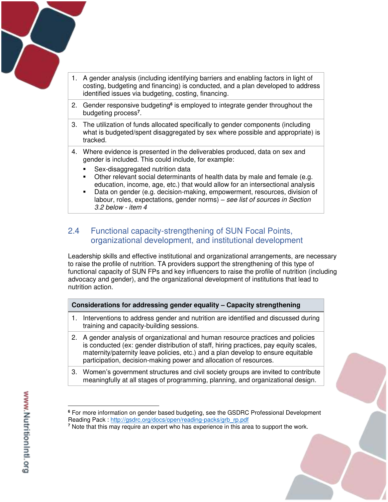

- 1. A gender analysis (including identifying barriers and enabling factors in light of costing, budgeting and financing) is conducted, and a plan developed to address identified issues via budgeting, costing, financing.
- 2. Gender responsive budgeting<sup>6</sup> is employed to integrate gender throughout the budgeting process**<sup>7</sup>** .
- 3. The utilization of funds allocated specifically to gender components (including what is budgeted/spent disaggregated by sex where possible and appropriate) is tracked.
- 4. Where evidence is presented in the deliverables produced, data on sex and gender is included. This could include, for example:
	- Sex-disaggregated nutrition data
	- Other relevant social determinants of health data by male and female (e.g. education, income, age, etc.) that would allow for an intersectional analysis
	- Data on gender (e.g. decision-making, empowerment, resources, division of labour, roles, expectations, gender norms) – *see list of sources in Section 3.2 below - item 4*

## <span id="page-8-0"></span>2.4 Functional capacity-strengthening of SUN Focal Points, organizational development, and institutional development

Leadership skills and effective institutional and organizational arrangements, are necessary to raise the profile of nutrition. TA providers support the strengthening of this type of functional capacity of SUN FPs and key influencers to raise the profile of nutrition (including advocacy and gender), and the organizational development of institutions that lead to nutrition action.

### **Considerations for addressing gender equality – Capacity strengthening**

- 1. Interventions to address gender and nutrition are identified and discussed during training and capacity-building sessions.
- 2. A gender analysis of organizational and human resource practices and policies is conducted (ex: gender distribution of staff, hiring practices, pay equity scales, maternity/paternity leave policies, etc.) and a plan develop to ensure equitable participation, decision-making power and allocation of resources.
- 3. Women's government structures and civil society groups are invited to contribute meaningfully at all stages of programming, planning, and organizational design.

 $\overline{a}$ **6** For more information on gender based budgeting, see the GSDRC Professional Development Reading Pack : [http://gsdrc.org/docs/open/reading-packs/grb\\_rp.pdf](http://gsdrc.org/docs/open/reading-packs/grb_rp.pdf) 

**<sup>7</sup>** Note that this may require an expert who has experience in this area to support the work.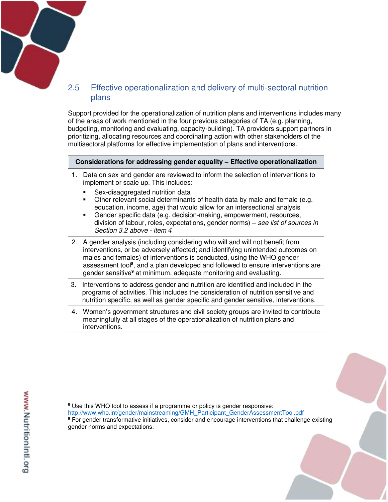

## <span id="page-9-0"></span>2.5 Effective operationalization and delivery of multi-sectoral nutrition plans

Support provided for the operationalization of nutrition plans and interventions includes many of the areas of work mentioned in the four previous categories of TA (e.g. planning, budgeting, monitoring and evaluating, capacity-building). TA providers support partners in prioritizing, allocating resources and coordinating action with other stakeholders of the multisectoral platforms for effective implementation of plans and interventions.

#### **Considerations for addressing gender equality – Effective operationalization**

- 1. Data on sex and gender are reviewed to inform the selection of interventions to implement or scale up. This includes:
	- **Sex-disaggregated nutrition data**

gender norms and expectations.

- Other relevant social determinants of health data by male and female (e.g. education, income, age) that would allow for an intersectional analysis
- Gender specific data (e.g. decision-making, empowerment, resources, division of labour, roles, expectations, gender norms) – *see list of sources in Section 3.2 above - item 4*
- 2. A gender analysis (including considering who will and will not benefit from interventions, or be adversely affected; and identifying unintended outcomes on males and females) of interventions is conducted, using the WHO gender assessment tool**<sup>8</sup>** , and a plan developed and followed to ensure interventions are gender sensitive<sup>9</sup> at minimum, adequate monitoring and evaluating.
- 3. Interventions to address gender and nutrition are identified and included in the programs of activities. This includes the consideration of nutrition sensitive and nutrition specific, as well as gender specific and gender sensitive, interventions.
- 4. Women's government structures and civil society groups are invited to contribute meaningfully at all stages of the operationalization of nutrition plans and interventions.

 $\overline{a}$ **8** Use this WHO tool to assess if a programme or policy is gender responsive: [http://www.who.int/gender/mainstreaming/GMH\\_Participant\\_GenderAssessmentTool.pdf](http://www.who.int/gender/mainstreaming/GMH_Participant_GenderAssessmentTool.pdf) **9** For gender transformative initiatives, consider and encourage interventions that challenge existing